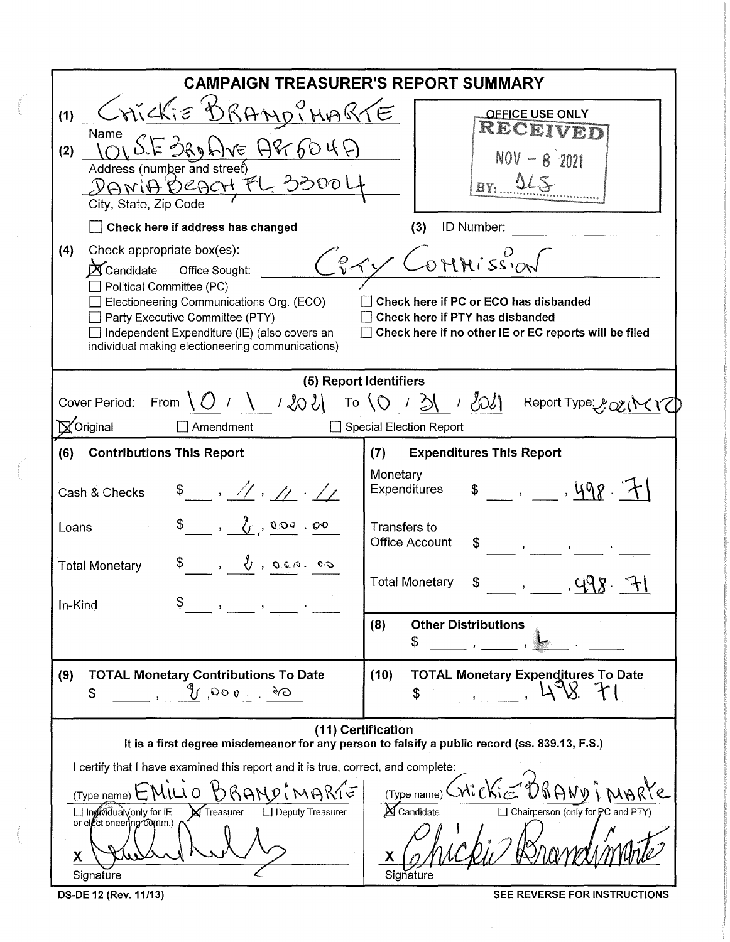| <b>CAMPAIGN TREASURER'S REPORT SUMMARY</b>                                                                                                                                                                                                                                                                                                                                                                                                                                                                         |                                                                                                                                                                                                                                                                                                                                                                                                                                 |  |  |  |  |  |
|--------------------------------------------------------------------------------------------------------------------------------------------------------------------------------------------------------------------------------------------------------------------------------------------------------------------------------------------------------------------------------------------------------------------------------------------------------------------------------------------------------------------|---------------------------------------------------------------------------------------------------------------------------------------------------------------------------------------------------------------------------------------------------------------------------------------------------------------------------------------------------------------------------------------------------------------------------------|--|--|--|--|--|
| Crickie <u>BRANDINAR</u><br>(1)<br>Name<br>E BROLIVE APT 604A<br>(2)<br>Address (number and street)<br>DANIA DeACH FL 3300<br>City, State, Zip Code                                                                                                                                                                                                                                                                                                                                                                | <b>OFFICE USE ONLY</b><br>RECEI<br>$NOV - 8^{2021}$<br>BY:                                                                                                                                                                                                                                                                                                                                                                      |  |  |  |  |  |
| Check here if address has changed<br>ID Number:<br>(3)<br>Check appropriate box(es):<br>(4)<br>Connission<br>$\cancel{\mathbf{X}}$ Candidate<br>Office Sought:<br>Political Committee (PC)<br>Electioneering Communications Org. (ECO)<br>Check here if PC or ECO has disbanded<br>Party Executive Committee (PTY)<br>Check here if PTY has disbanded<br>Check here if no other IE or EC reports will be filed<br>Independent Expenditure (IE) (also covers an<br>individual making electioneering communications) |                                                                                                                                                                                                                                                                                                                                                                                                                                 |  |  |  |  |  |
| (5) Report Identifiers<br>Cover Period: From $\bigcup_{i=1}^{n}$ / $\bigcup_{i=1}^{n}$ / $\bigotimes_{i=1}^{n}$ / $\bigotimes_{i=1}^{n}$ / $\bigotimes_{i=1}^{n}$ / $\bigotimes_{i=1}^{n}$ / $\bigotimes_{i=1}^{n}$ / $\bigotimes_{i=1}^{n}$ / $\bigotimes_{i=1}^{n}$ / $\bigotimes_{i=1}^{n}$ / $\bigotimes_{i=1}^{n}$ / $\bigotimes_{i=1}^{n}$ /<br>Voriginal<br>$\Box$ Amendment<br>Special Election Report                                                                                                     |                                                                                                                                                                                                                                                                                                                                                                                                                                 |  |  |  |  |  |
| (6)<br><b>Contributions This Report</b><br>$$-.1.11$<br>Cash & Checks                                                                                                                                                                                                                                                                                                                                                                                                                                              | <b>Expenditures This Report</b><br>(7)<br>Monetary<br>$\frac{1}{2}$ , $\frac{1}{2}$ , $\frac{1}{2}$<br><b>Expenditures</b>                                                                                                                                                                                                                                                                                                      |  |  |  |  |  |
| $\frac{1}{2}$ , $\frac{1}{2}$ , $\frac{1}{2}$ , $\frac{1}{2}$ , $\frac{1}{2}$<br>Loans<br>$\sqrt{2}$ , $\sqrt{2}$ , $\sqrt{2}$ , $\sqrt{2}$<br><b>Total Monetary</b><br>In-Kind                                                                                                                                                                                                                                                                                                                                    | Transfers to<br><b>Office Account</b><br>\$<br>$\frac{1}{2}$ $\frac{1}{2}$ $\frac{1}{2}$ $\frac{1}{2}$ $\frac{1}{2}$ $\frac{1}{2}$ $\frac{1}{2}$ $\frac{1}{2}$ $\frac{1}{2}$ $\frac{1}{2}$ $\frac{1}{2}$ $\frac{1}{2}$ $\frac{1}{2}$ $\frac{1}{2}$ $\frac{1}{2}$ $\frac{1}{2}$ $\frac{1}{2}$ $\frac{1}{2}$ $\frac{1}{2}$ $\frac{1}{2}$ $\frac{1}{2}$ $\frac{1}{2}$<br><b>Total Monetary</b><br>\$<br>$\mathcal{L}(\mathcal{L})$ |  |  |  |  |  |
|                                                                                                                                                                                                                                                                                                                                                                                                                                                                                                                    | (8)<br><b>Other Distributions</b><br>\$                                                                                                                                                                                                                                                                                                                                                                                         |  |  |  |  |  |
| <b>TOTAL Monetary Contributions To Date</b><br>(9)<br>$O^g$ 000 $V^b$<br>\$                                                                                                                                                                                                                                                                                                                                                                                                                                        | <b>TOTAL Monetary Expenditures To Date</b><br>(10)                                                                                                                                                                                                                                                                                                                                                                              |  |  |  |  |  |
| (11) Certification<br>It is a first degree misdemeanor for any person to falsify a public record (ss. 839.13, F.S.)                                                                                                                                                                                                                                                                                                                                                                                                |                                                                                                                                                                                                                                                                                                                                                                                                                                 |  |  |  |  |  |
| I certify that I have examined this report and it is true, correct, and complete:<br>MILLO<br>(Type name)<br>□ Individual (only for IE<br>□ Deputy Treasurer<br><b>X</b> Treasurer<br>or electioneering comm.)<br>Χ<br>Signature                                                                                                                                                                                                                                                                                   | (Type name) $\bigcirc$ $\bigcirc$ $\bigcirc$ $\bigcirc$ $\bigcirc$ $\bigcirc$ $\bigcirc$<br>Candidate<br>□ Chairperson (only for PC and PTY)<br>Signature                                                                                                                                                                                                                                                                       |  |  |  |  |  |

OS-DE 12 (Rev. 11/13) SEE REVERSE FOR INSTRUCTIONS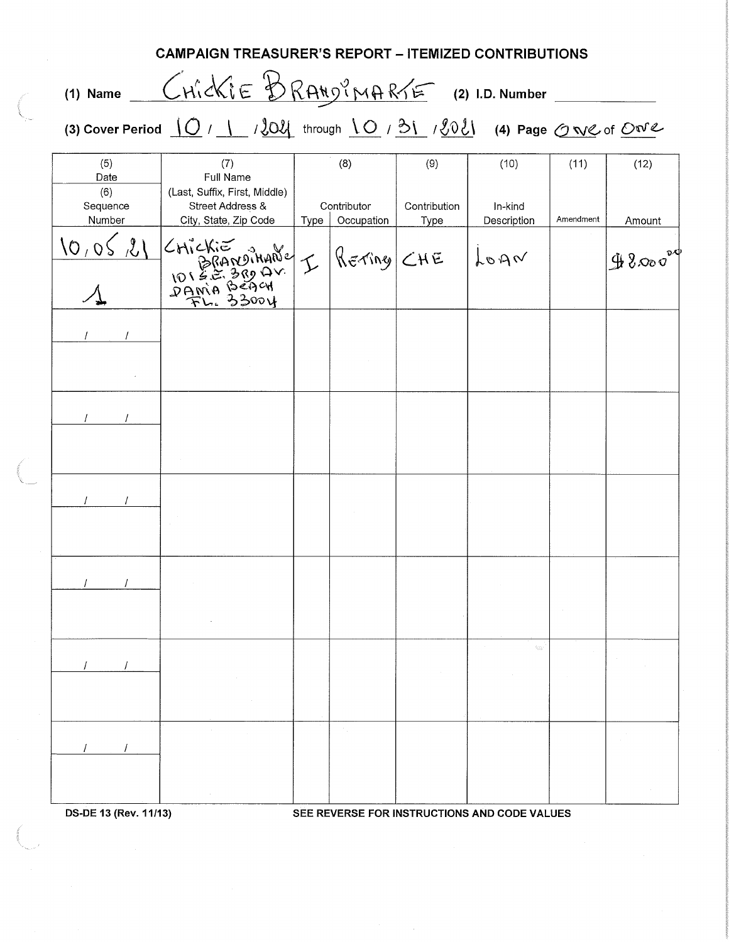| <b>CAMPAIGN TREASURER'S REPORT - ITEMIZED CONTRIBUTIONS</b> |                                                                                            |  |                    |                     |                                              |                   |                |
|-------------------------------------------------------------|--------------------------------------------------------------------------------------------|--|--------------------|---------------------|----------------------------------------------|-------------------|----------------|
| $(1)$ Name                                                  | CHICKIE BRANDINARTE (2) I.D. Number                                                        |  |                    |                     |                                              |                   |                |
|                                                             | (3) Cover Period $[O / 1 / 202]$ through $[O / 3] / 202$ (4) Page $O \vee O$ of $O \vee C$ |  |                    |                     |                                              |                   |                |
| (5)<br>Date<br>(6)<br>Sequence<br>Number                    | (7)<br>Full Name<br>(Last, Suffix, First, Middle)<br>Street Address &                      |  | (8)<br>Contributor | (9)<br>Contribution | (10)<br>In-kind<br>Description               | (11)<br>Amendment | (12)<br>Amount |
| 18,06,01                                                    |                                                                                            |  |                    |                     | $ h$ oga                                     |                   | $98000^{80}$   |
|                                                             |                                                                                            |  |                    |                     |                                              |                   |                |
|                                                             |                                                                                            |  |                    |                     |                                              |                   |                |
|                                                             |                                                                                            |  |                    |                     |                                              |                   |                |
|                                                             |                                                                                            |  |                    |                     |                                              |                   |                |
|                                                             |                                                                                            |  |                    |                     | en.                                          |                   |                |
|                                                             |                                                                                            |  |                    |                     |                                              |                   |                |
| DS-DE 13 (Rev. 11/13)                                       |                                                                                            |  |                    |                     | SEE REVERSE FOR INSTRUCTIONS AND CODE VALUES |                   |                |